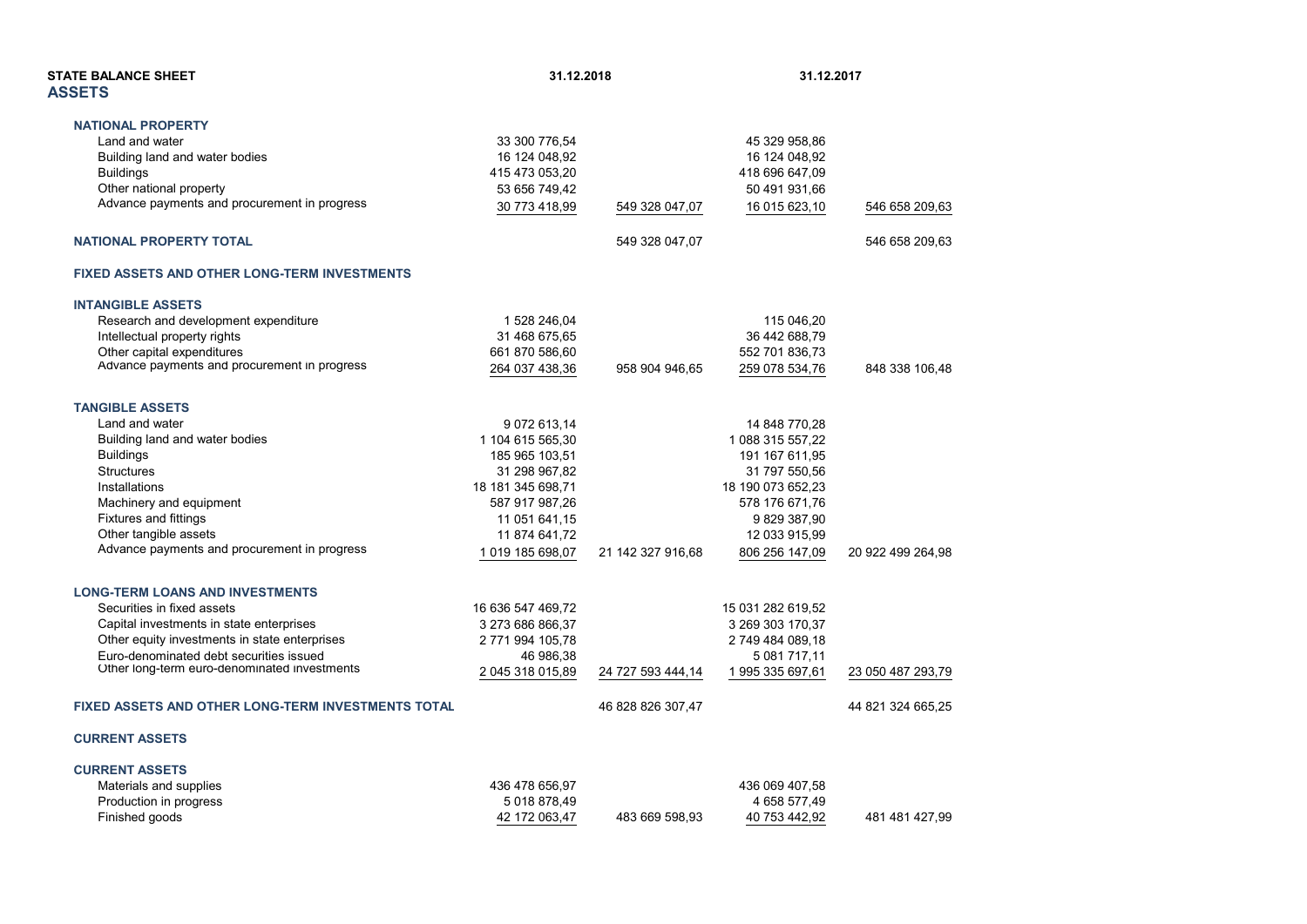| <b>STATE BALANCE SHEET</b><br><b>ASSETS</b>               |                   | 31.12.2018        |                   | 31.12.2017        |  |
|-----------------------------------------------------------|-------------------|-------------------|-------------------|-------------------|--|
| <b>NATIONAL PROPERTY</b>                                  |                   |                   |                   |                   |  |
| Land and water                                            | 33 300 776,54     |                   | 45 329 958,86     |                   |  |
| Building land and water bodies                            | 16 124 048,92     |                   | 16 124 048,92     |                   |  |
| <b>Buildings</b>                                          | 415 473 053,20    |                   | 418 696 647,09    |                   |  |
| Other national property                                   | 53 656 749,42     |                   | 50 491 931,66     |                   |  |
| Advance payments and procurement in progress              | 30 773 418,99     | 549 328 047,07    | 16 015 623,10     | 546 658 209,63    |  |
| <b>NATIONAL PROPERTY TOTAL</b>                            |                   | 549 328 047,07    |                   | 546 658 209,63    |  |
| <b>FIXED ASSETS AND OTHER LONG-TERM INVESTMENTS</b>       |                   |                   |                   |                   |  |
| <b>INTANGIBLE ASSETS</b>                                  |                   |                   |                   |                   |  |
| Research and development expenditure                      | 1 528 246,04      |                   | 115 046,20        |                   |  |
| Intellectual property rights                              | 31 468 675,65     |                   | 36 442 688,79     |                   |  |
| Other capital expenditures                                | 661 870 586,60    |                   | 552 701 836,73    |                   |  |
| Advance payments and procurement in progress              | 264 037 438,36    | 958 904 946,65    | 259 078 534,76    | 848 338 106,48    |  |
| <b>TANGIBLE ASSETS</b>                                    |                   |                   |                   |                   |  |
| Land and water                                            | 9 072 613,14      |                   | 14 848 770,28     |                   |  |
| Building land and water bodies                            | 1 104 615 565,30  |                   | 1 088 315 557,22  |                   |  |
| <b>Buildings</b>                                          | 185 965 103,51    |                   | 191 167 611,95    |                   |  |
| <b>Structures</b>                                         | 31 298 967,82     |                   | 31 797 550,56     |                   |  |
| Installations                                             | 18 181 345 698,71 |                   | 18 190 073 652,23 |                   |  |
| Machinery and equipment                                   | 587 917 987,26    |                   | 578 176 671,76    |                   |  |
| Fixtures and fittings                                     | 11 051 641,15     |                   | 9829387,90        |                   |  |
| Other tangible assets                                     | 11 874 641,72     |                   | 12 033 915,99     |                   |  |
| Advance payments and procurement in progress              | 1019 185 698,07   | 21 142 327 916,68 | 806 256 147,09    | 20 922 499 264,98 |  |
| <b>LONG-TERM LOANS AND INVESTMENTS</b>                    |                   |                   |                   |                   |  |
| Securities in fixed assets                                | 16 636 547 469 72 |                   | 15 031 282 619,52 |                   |  |
| Capital investments in state enterprises                  | 3 273 686 866,37  |                   | 3 269 303 170,37  |                   |  |
| Other equity investments in state enterprises             | 2 771 994 105,78  |                   | 2 749 484 089,18  |                   |  |
| Euro-denominated debt securities issued                   | 46 986,38         |                   | 5 081 717,11      |                   |  |
| Other long-term euro-denominated investments              | 2 045 318 015,89  | 24 727 593 444,14 | 1 995 335 697,61  | 23 050 487 293,79 |  |
| <b>FIXED ASSETS AND OTHER LONG-TERM INVESTMENTS TOTAL</b> |                   | 46 828 826 307,47 |                   | 44 821 324 665,25 |  |
| <b>CURRENT ASSETS</b>                                     |                   |                   |                   |                   |  |
| <b>CURRENT ASSETS</b>                                     |                   |                   |                   |                   |  |
| Materials and supplies                                    | 436 478 656,97    |                   | 436 069 407,58    |                   |  |
| Production in progress                                    | 5018878,49        |                   | 4 658 577,49      |                   |  |
| Finished goods                                            | 42 172 063,47     | 483 669 598,93    | 40 753 442,92     | 481 481 427,99    |  |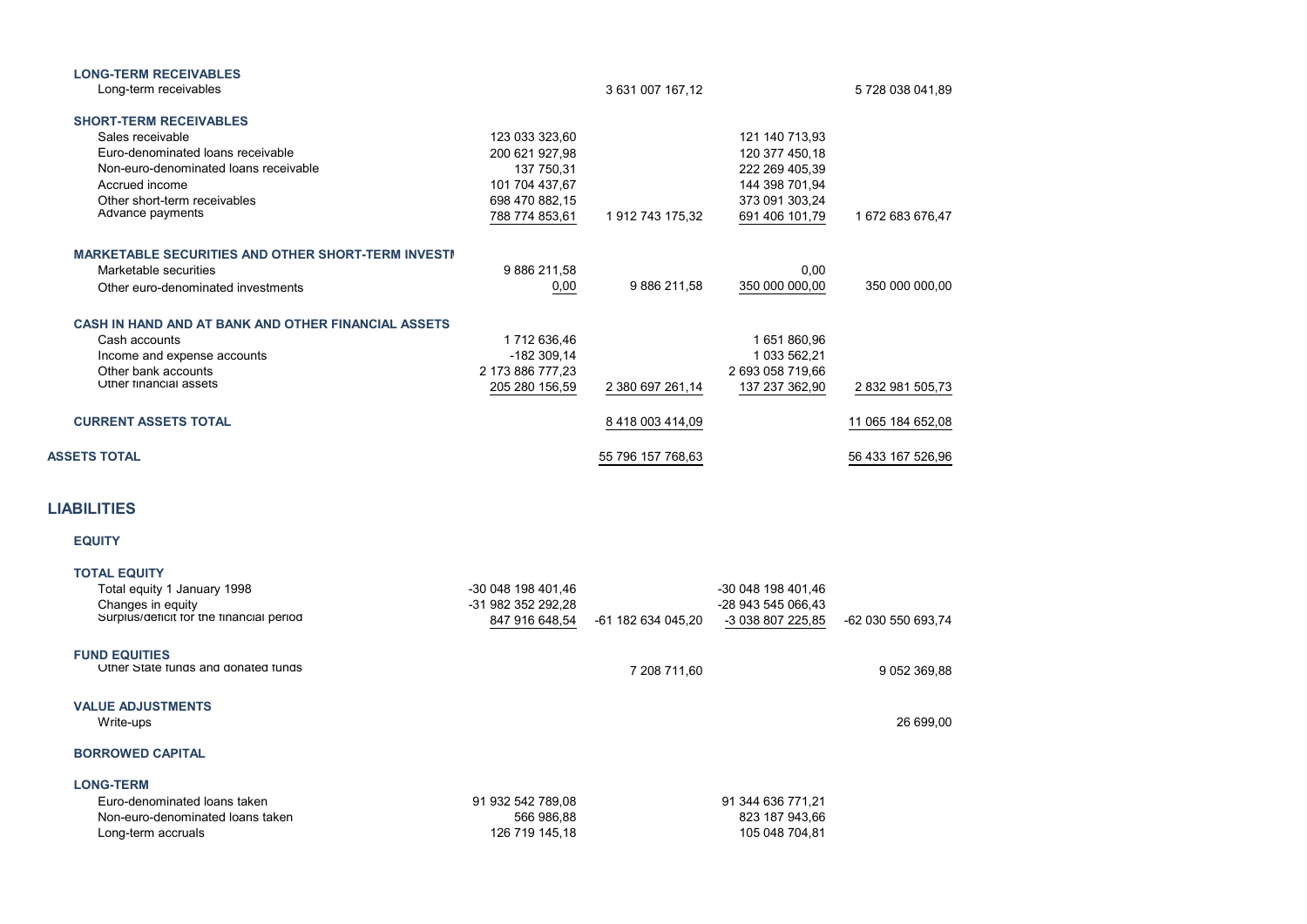| <b>LONG-TERM RECEIVABLES</b>                              |                  |                   |                  |                   |
|-----------------------------------------------------------|------------------|-------------------|------------------|-------------------|
| Long-term receivables                                     |                  | 3 631 007 167,12  |                  | 5 728 038 041,89  |
| <b>SHORT-TERM RECEIVABLES</b>                             |                  |                   |                  |                   |
| Sales receivable                                          | 123 033 323,60   |                   | 121 140 713,93   |                   |
| Euro-denominated loans receivable                         | 200 621 927,98   |                   | 120 377 450,18   |                   |
| Non-euro-denominated loans receivable                     | 137 750,31       |                   | 222 269 405,39   |                   |
| Accrued income                                            | 101 704 437,67   |                   | 144 398 701,94   |                   |
| Other short-term receivables                              | 698 470 882,15   |                   | 373 091 303,24   |                   |
| Advance payments                                          | 788 774 853,61   | 1 912 743 175,32  | 691 406 101,79   | 1 672 683 676,47  |
| <b>MARKETABLE SECURITIES AND OTHER SHORT-TERM INVESTI</b> |                  |                   |                  |                   |
| Marketable securities                                     | 9886211,58       |                   | 0,00             |                   |
| Other euro-denominated investments                        | 0,00             | 9 886 211,58      | 350 000 000,00   | 350 000 000,00    |
|                                                           |                  |                   |                  |                   |
| CASH IN HAND AND AT BANK AND OTHER FINANCIAL ASSETS       |                  |                   |                  |                   |
| Cash accounts                                             | 1712 636,46      |                   | 1651860,96       |                   |
| Income and expense accounts                               | $-182309,14$     |                   | 1 033 562,21     |                   |
| Other bank accounts                                       | 2 173 886 777,23 |                   | 2 693 058 719,66 |                   |
| Other financial assets                                    | 205 280 156,59   | 2 380 697 261,14  | 137 237 362,90   | 2 832 981 505,73  |
| <b>CURRENT ASSETS TOTAL</b>                               |                  | 8 418 003 414,09  |                  | 11 065 184 652,08 |
| <b>ASSETS TOTAL</b>                                       |                  | 55 796 157 768,63 |                  | 56 433 167 526,96 |

## **LIABILITIES**

## **EQUITY**

| -30 048 198 401.46 |                    | -30 048 198 401,46 |                    |
|--------------------|--------------------|--------------------|--------------------|
| -31 982 352 292.28 |                    | -28 943 545 066.43 |                    |
| 847 916 648,54     | -61 182 634 045,20 | -3 038 807 225,85  | -62 030 550 693,74 |
|                    |                    |                    |                    |
|                    |                    |                    |                    |
|                    |                    |                    | 9 052 369,88       |
|                    |                    |                    |                    |
|                    |                    |                    |                    |
|                    |                    |                    | 26 699.00          |
|                    |                    |                    |                    |
|                    |                    |                    |                    |
|                    |                    |                    |                    |
| 91 932 542 789,08  |                    | 91 344 636 771,21  |                    |
| 566 986,88         |                    | 823 187 943,66     |                    |
| 126 719 145.18     |                    | 105 048 704.81     |                    |
|                    |                    | 7 208 711,60       |                    |